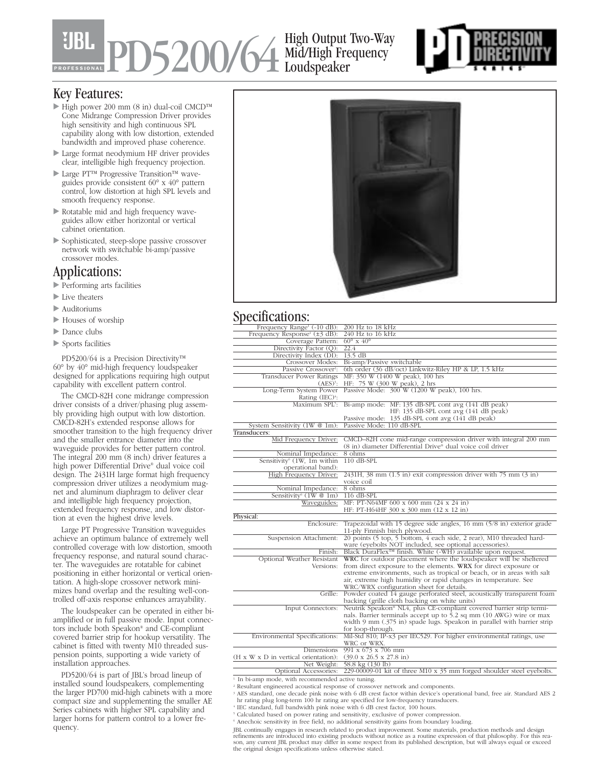# PD5200/64 High Output Two-Way Mid/High Frequency Loudspeaker



## Key Features:

- High power 200 mm (8 in) dual-coil CMCD™ Cone Midrange Compression Driver provides high sensitivity and high continuous SPL capability along with low distortion, extended bandwidth and improved phase coherence.
- Large format neodymium HF driver provides clear, intelligible high frequency projection.
- Large PT™ Progressive Transition™ waveguides provide consistent 60° x 40° pattern control, low distortion at high SPL levels and smooth frequency response.
- Rotatable mid and high frequency waveguides allow either horizontal or vertical cabinet orientation.
- Sophisticated, steep-slope passive crossover network with switchable bi-amp/passive crossover modes.

## Applications:

- Performing arts facilities
- Live theaters
- Auditoriums
- Houses of worship
- Dance clubs
- Sports facilities

PD5200/64 is a Precision Directivity™ 60° by 40° mid-high frequency loudspeaker designed for applications requiring high output capability with excellent pattern control.

The CMCD-82H cone midrange compression driver consists of a driver/phasing plug assembly providing high output with low distortion. CMCD-82H's extended response allows for smoother transition to the high frequency driver and the smaller entrance diameter into the waveguide provides for better pattern control. The integral 200 mm (8 inch) driver features a high power Differential Drive® dual voice coil design. The 2431H large format high frequency compression driver utilizes a neodymium magnet and aluminum diaphragm to deliver clear and intelligible high frequency projection, extended frequency response, and low distortion at even the highest drive levels.

Large PT Progressive Transition waveguides achieve an optimum balance of extremely well controlled coverage with low distortion, smooth frequency response, and natural sound character. The waveguides are rotatable for cabinet positioning in either horizontal or vertical orientation. A high-slope crossover network minimizes band overlap and the resulting well-controlled off-axis response enhances arrayability.

The loudspeaker can be operated in either biamplified or in full passive mode. Input connectors include both Speakon® and CE-compliant covered barrier strip for hookup versatility. The cabinet is fitted with twenty M10 threaded suspension points, supporting a wide variety of installation approaches.

PD5200/64 is part of JBL's broad lineup of installed sound loudspeakers, complementing the larger PD700 mid-high cabinets with a more compact size and supplementing the smaller AE Series cabinets with higher SPL capability and larger horns for pattern control to a lower frequency.



# Specifications:

| Frequency Range <sup>1</sup> (-10 dB):         | 200 Hz to 18 kHz                                                                       |
|------------------------------------------------|----------------------------------------------------------------------------------------|
| Frequency Response <sup>1</sup> ( $\pm$ 3 dB): | $240$ Hz to $16$ kHz                                                                   |
| Coverage Pattern:                              | $60^\circ \times 40^\circ$                                                             |
| Directivity Factor (Q):                        | 22.4                                                                                   |
| Directivity Index (DI):                        | $13.5 \text{ dB}$                                                                      |
| Crossover Modes:                               | Bi-amp/Passive switchable                                                              |
| Passive Crossover <sup>2</sup> :               | 6th order (36 dB/oct) Linkwitz-Riley HP & LP, 1.5 kHz                                  |
| <b>Transducer Power Ratings</b>                | MF: 350 W (1400 W peak), 100 hrs                                                       |
| $(AES)^3$ :                                    | HF: 75 W (300 W peak), 2 hrs                                                           |
|                                                | Long-Term System Power Passive Mode: 300 W (1200 W peak), 100 hrs.                     |
| Rating (IEC) <sup>4</sup> :                    |                                                                                        |
|                                                | Maximum SPL <sup>5</sup> : Bi-amp mode: MF: 135 dB-SPL cont avg (141 dB peak)          |
|                                                | HF: 135 dB-SPL cont avg (141 dB peak)                                                  |
|                                                | Passive mode: 135 dB-SPL cont avg (141 dB peak)                                        |
| System Sensitivity (1W @ 1m):                  | Passive Mode: 110 dB-SPL                                                               |
| Transducers:                                   |                                                                                        |
| Mid Frequency Driver:                          | CMCD-82H cone mid-range compression driver with integral 200 mm                        |
|                                                | (8 in) diameter Differential Drive® dual voice coil driver                             |
| Nominal Impedance:                             | 8 ohms                                                                                 |
| Sensitivity <sup>6</sup> (1W, 1m within        | $110dB$ -SPL                                                                           |
| operational band):                             |                                                                                        |
| High Frequency Driver:                         | $2431H$ , 38 mm $(1.5 \text{ in})$ exit compression driver with 75 mm $(3 \text{ in})$ |
|                                                | voice coil                                                                             |
| Nominal Impedance:                             | 8 ohms                                                                                 |
| Sensitivity <sup>6</sup> $(1W@1m)$             | $116$ dB-SPL                                                                           |
| Waveguides:                                    | MF: PT-N64MF 600 x 600 mm (24 x 24 in)                                                 |
|                                                | HF: PT-H64HF 300 x 300 mm (12 x 12 in)                                                 |
| Physical:                                      |                                                                                        |
| Enclosure:                                     | Trapezoidal with 15 degree side angles, 16 mm (5/8 in) exterior grade                  |
|                                                | 11-ply Finnish birch plywood.                                                          |
| Suspension Attachment:                         | 20 points (5 top, 5 bottom, 4 each side, 2 rear), M10 threaded hard-                   |
|                                                | ware (eyebolts NOT included, see optional accessories).                                |
| Finish:                                        | Black DuraFlex <sup>™</sup> finish. White (-WH) available upon request.                |
| Optional Weather Resistant                     | WRC for outdoor placement where the loudspeaker will be sheltered                      |
| Versions:                                      | from direct exposure to the elements. WRX for direct exposure or                       |
|                                                | extreme environments, such as tropical or beach, or in areas with salt                 |
|                                                | air, extreme high humidity or rapid changes in temperature. See                        |
|                                                | WRC/WRX configuration sheet for details.                                               |
|                                                | Grille: Powder coated 14 gauge perforated steel, acoustically transparent foam         |
|                                                | backing (grille cloth backing on white units)                                          |
| Input Connectors:                              | Neutrik Speakon® NL4, plus CE-compliant covered barrier strip termi-                   |
|                                                | nals. Barrier terminals accept up to 5.2 sq mm (10 AWG) wire or max                    |
|                                                | width 9 mm (.375 in) spade lugs. Speakon in parallel with barrier strip                |
|                                                | for loop-through.                                                                      |
| Environmental Specifications:                  | Mil-Std 810; IP-x3 per IEC529. For higher environmental ratings, use                   |
|                                                | WRC or WRX.                                                                            |
| Dimensions                                     | $991 \times 673 \times 706$ mm                                                         |
| (H x W x D in vertical orientation):           | $(39.0 \times 26.5 \times 27.8 \text{ in})$                                            |
| Net Weight:                                    | 58.8 kg (130 lb)                                                                       |
| Optional Accessories:                          | 229-00009-01 kit of three M10 x 35 mm forged shoulder steel eyebolts.                  |

<sup>1.</sup> In bi-amp mode, with recommended active tuning.

- <sup>2</sup> Resultant engineered acoustical response of crossover network and components.
- <sup>3</sup> AES standard, one decade pink noise with 6 dB crest factor within device's operational band, free air. Standard AES 2 hr rating plug long-term 100 hr rating are specified for low-frequency transducers.
- <sup>4</sup> IEC standard, full bandwidth pink noise with 6 dB crest factor, 100 hours.
- <sup>5</sup> Calculated based on power rating and sensitivity, exclusive of power compression.
- <sup>6</sup> Anechoic sensitivity in free field, no additional sensitivity gains from boundary loading.

JBL continually engages in research related to product improvement. Some materials, production methods and design<br>refinements are introduced into existing products without notice as a routine expression of that philosophy.